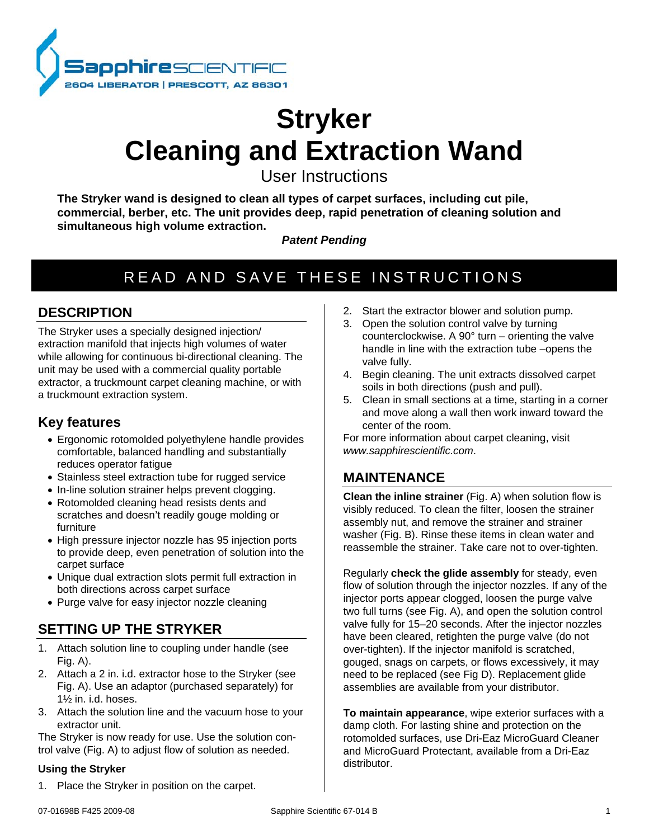

# **Stryker Cleaning and Extraction Wand**

User Instructions

**The Stryker wand is designed to clean all types of carpet surfaces, including cut pile, commercial, berber, etc. The unit provides deep, rapid penetration of cleaning solution and simultaneous high volume extraction.** 

*Patent Pending*

## READ AND SAVE THESE INSTRUCTIONS

## **DESCRIPTION**

The Stryker uses a specially designed injection/ extraction manifold that injects high volumes of water while allowing for continuous bi-directional cleaning. The unit may be used with a commercial quality portable extractor, a truckmount carpet cleaning machine, or with a truckmount extraction system.

## **Key features**

- Ergonomic rotomolded polyethylene handle provides comfortable, balanced handling and substantially reduces operator fatigue
- Stainless steel extraction tube for rugged service
- In-line solution strainer helps prevent clogging.
- Rotomolded cleaning head resists dents and scratches and doesn't readily gouge molding or furniture
- High pressure injector nozzle has 95 injection ports to provide deep, even penetration of solution into the carpet surface
- Unique dual extraction slots permit full extraction in both directions across carpet surface
- Purge valve for easy injector nozzle cleaning

## **SETTING UP THE STRYKER**

- 1. Attach solution line to coupling under handle (see Fig. A).
- 2. Attach a 2 in. i.d. extractor hose to the Stryker (see Fig. A). Use an adaptor (purchased separately) for 1½ in. i.d. hoses.
- 3. Attach the solution line and the vacuum hose to your extractor unit.

The Stryker is now ready for use. Use the solution control valve (Fig. A) to adjust flow of solution as needed.

#### **Using the Stryker**

1. Place the Stryker in position on the carpet.

- 2. Start the extractor blower and solution pump.
- 3. Open the solution control valve by turning counterclockwise. A 90° turn – orienting the valve handle in line with the extraction tube –opens the valve fully.
- 4. Begin cleaning. The unit extracts dissolved carpet soils in both directions (push and pull).
- 5. Clean in small sections at a time, starting in a corner and move along a wall then work inward toward the center of the room.

For more information about carpet cleaning, visit *www.sapphirescientific.com*.

## **MAINTENANCE**

**Clean the inline strainer** (Fig. A) when solution flow is visibly reduced. To clean the filter, loosen the strainer assembly nut, and remove the strainer and strainer washer (Fig. B). Rinse these items in clean water and reassemble the strainer. Take care not to over-tighten.

Regularly **check the glide assembly** for steady, even flow of solution through the injector nozzles. If any of the injector ports appear clogged, loosen the purge valve two full turns (see Fig. A), and open the solution control valve fully for 15–20 seconds. After the injector nozzles have been cleared, retighten the purge valve (do not over-tighten). If the injector manifold is scratched, gouged, snags on carpets, or flows excessively, it may need to be replaced (see Fig D). Replacement glide assemblies are available from your distributor.

**To maintain appearance**, wipe exterior surfaces with a damp cloth. For lasting shine and protection on the rotomolded surfaces, use Dri-Eaz MicroGuard Cleaner and MicroGuard Protectant, available from a Dri-Eaz distributor.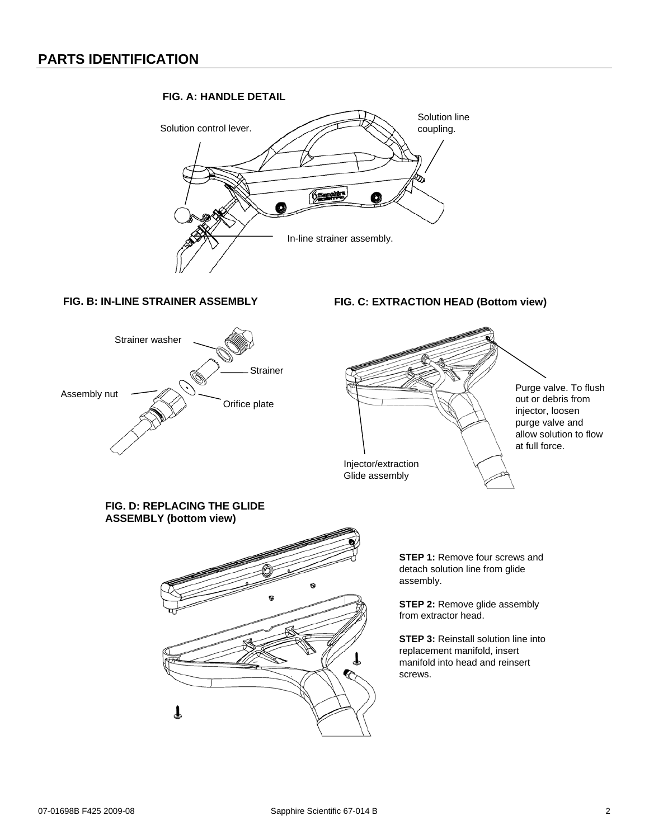#### **FIG. A: HANDLE DETAIL**



#### **FIG. B: IN-LINE STRAINER ASSEMBLY**



#### **FIG. C: EXTRACTION HEAD (Bottom view)**



**FIG. D: REPLACING THE GLIDE ASSEMBLY (bottom view)**



**STEP 1: Remove four screws and** detach solution line from glide assembly.

**STEP 2:** Remove glide assembly from extractor head.

**STEP 3:** Reinstall solution line into replacement manifold, insert manifold into head and reinsert screws.